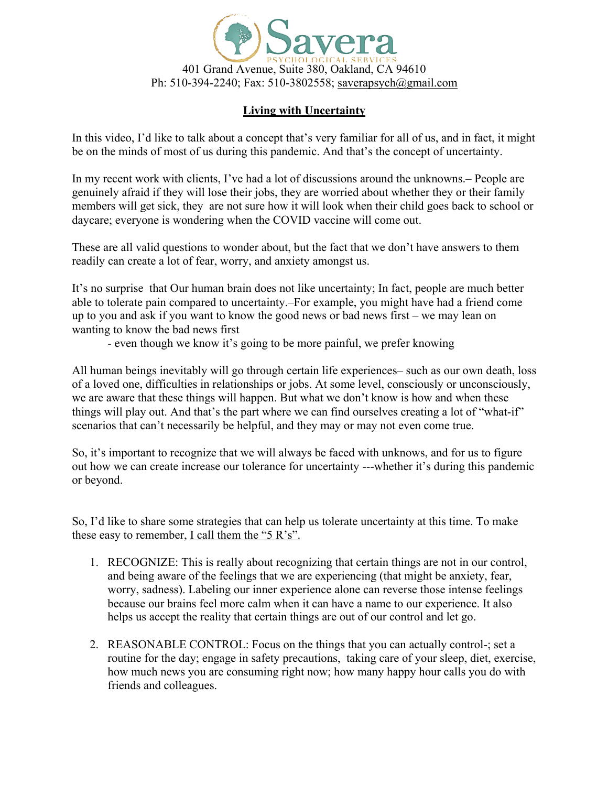

## **Living with Uncertainty**

In this video, I'd like to talk about a concept that's very familiar for all of us, and in fact, it might be on the minds of most of us during this pandemic. And that's the concept of uncertainty.

In my recent work with clients, I've had a lot of discussions around the unknowns.– People are genuinely afraid if they will lose their jobs, they are worried about whether they or their family members will get sick, they are not sure how it will look when their child goes back to school or daycare; everyone is wondering when the COVID vaccine will come out.

These are all valid questions to wonder about, but the fact that we don't have answers to them readily can create a lot of fear, worry, and anxiety amongst us.

It's no surprise that Our human brain does not like uncertainty; In fact, people are much better able to tolerate pain compared to uncertainty.–For example, you might have had a friend come up to you and ask if you want to know the good news or bad news first – we may lean on wanting to know the bad news first

- even though we know it's going to be more painful, we prefer knowing

All human beings inevitably will go through certain life experiences– such as our own death, loss of a loved one, difficulties in relationships or jobs. At some level, consciously or unconsciously, we are aware that these things will happen. But what we don't know is how and when these things will play out. And that's the part where we can find ourselves creating a lot of "what-if" scenarios that can't necessarily be helpful, and they may or may not even come true.

So, it's important to recognize that we will always be faced with unknows, and for us to figure out how we can create increase our tolerance for uncertainty ---whether it's during this pandemic or beyond.

So, I'd like to share some strategies that can help us tolerate uncertainty at this time. To make these easy to remember,  $I$  call them the "5 R's".

- 1. RECOGNIZE: This is really about recognizing that certain things are not in our control, and being aware of the feelings that we are experiencing (that might be anxiety, fear, worry, sadness). Labeling our inner experience alone can reverse those intense feelings because our brains feel more calm when it can have a name to our experience. It also helps us accept the reality that certain things are out of our control and let go.
- 2. REASONABLE CONTROL: Focus on the things that you can actually control-; set a routine for the day; engage in safety precautions, taking care of your sleep, diet, exercise, how much news you are consuming right now; how many happy hour calls you do with friends and colleagues.